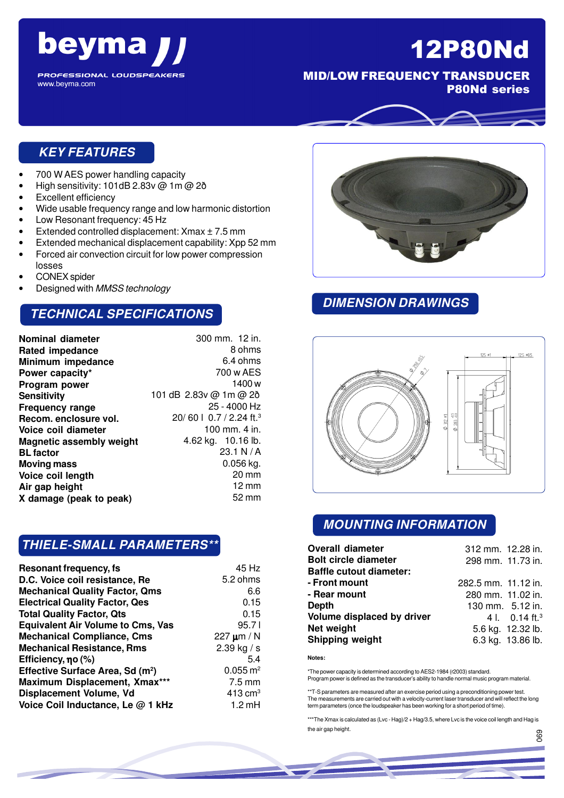

12P80Nd

MID/LOW FREQUENCY TRANSDUCER P80Nd series

**PROFESSIONAL LOUDSPEAKERS** www.beyma.com

### **KEY FEATURES**

- 700 W AES power handling capacity
- High sensitivity: 101dB 2.83v @ 1m @ 2ð
- Excellent efficiency
- Wide usable frequency range and low harmonic distortion
- Low Resonant frequency: 45 Hz
- Extended controlled displacement:  $X$ max  $\pm$  7.5 mm
- Extended mechanical displacement capability: Xpp 52 mm
- Forced air convection circuit for low power compression losses
- CONEX spider
- Designed with MMSS technology

### **TECHNICAL SPECIFICATIONS**

| Nominal diameter                | 300 mm. 12 in.                      |
|---------------------------------|-------------------------------------|
| <b>Rated impedance</b>          | 8 ohms                              |
| Minimum impedance               | 6.4 ohms                            |
| Power capacity*                 | 700 w AES                           |
| Program power                   | 1400 w                              |
| <b>Sensitivity</b>              | 101 dB 2.83v @ 1m @ 2ð              |
| <b>Frequency range</b>          | 25 - 4000 Hz                        |
| Recom. enclosure vol.           | 20/60   0.7 / 2.24 ft. <sup>3</sup> |
| Voice coil diameter             | 100 mm. 4 in.                       |
| <b>Magnetic assembly weight</b> | 4.62 kg. 10.16 lb.                  |
| <b>BL factor</b>                | 23.1 N/A                            |
| Moving mass                     | $0.056$ kg.                         |
| Voice coil length               | $20 \text{ mm}$                     |
| Air gap height                  | $12 \text{ mm}$                     |
| X damage (peak to peak)         | 52 mm                               |
|                                 |                                     |

### **THIELE-SMALL PARAMETERS\*\***

| Resonant frequency, fs                       | 45 Hz                  |
|----------------------------------------------|------------------------|
| D.C. Voice coil resistance, Re               | 5.2 ohms               |
| <b>Mechanical Quality Factor, Qms</b>        | 6.6                    |
| <b>Electrical Quality Factor, Qes</b>        | 0.15                   |
| <b>Total Quality Factor, Qts</b>             | 0.15                   |
| <b>Equivalent Air Volume to Cms, Vas</b>     | 95.71                  |
| <b>Mechanical Compliance, Cms</b>            | 227 $\mu$ m / N        |
| <b>Mechanical Resistance, Rms</b>            | 2.39 kg / s            |
| Efficiency, $\eta$ o (%)                     | 5.4                    |
| Effective Surface Area, Sd (m <sup>2</sup> ) | $0.055 \,\mathrm{m}^2$ |
| Maximum Displacement, Xmax***                | $7.5 \text{ mm}$       |
| Displacement Volume, Vd                      | $413 \text{ cm}^3$     |
| Voice Coil Inductance, Le @ 1 kHz            | $1.2 \text{ mH}$       |



### **DIMENSION DRAWINGS**



### **MOUNTING INFORMATION**

| <b>Overall diameter</b>        | 312 mm. 12.28 in.   |                          |
|--------------------------------|---------------------|--------------------------|
| <b>Bolt circle diameter</b>    | 298 mm. 11.73 in.   |                          |
| <b>Baffle cutout diameter:</b> |                     |                          |
| - Front mount                  | 282.5 mm. 11.12 in. |                          |
| - Rear mount                   | 280 mm. 11.02 in.   |                          |
| Depth                          |                     | 130 mm. 5.12 in.         |
| Volume displaced by driver     |                     | 4. 0.14 ft. <sup>3</sup> |
| Net weight                     |                     | 5.6 kg. 12.32 lb.        |
| <b>Shipping weight</b>         |                     | 6.3 kg. 13.86 lb.        |

**Notes:**

\*The power capacity is determined according to AES2-1984 (r2003) standard. Program power is defined as the transducer's ability to handle normal music program material.

\*\*T-S parameters are measured after an exercise period using a preconditioning power test. The measurements are carried out with a velocity-current laser transducer and will reflect the long term parameters (once the loudspeaker has been working for a short period of time).

\*\*\*The Xmax is calculated as (Lvc - Hag)/2 + Hag/3.5, where Lvc is the voice coil length and Hag is the air gap height. 069

056